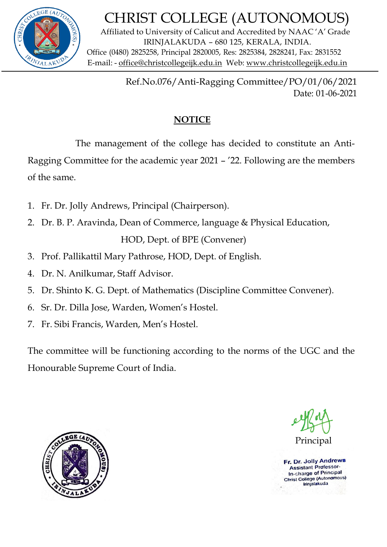

## CHRIST COLLEGE (AUTONOMOUS)

Affiliated to University of Calicut and Accredited by NAAC 'A' Grade IRINJALAKUDA – 680 125, KERALA, INDIA. Office (0480) 2825258, Principal 2820005, Res: 2825384, 2828241, Fax: 2831552  $W_{VALA}$ <sub>K</sub> $U_{VALA}$ K $U_{VLA}$  E-mail: - office[@christcollegeijk.](http://christcollegeijk/)edu.in Web: [www.christcollegeijk.edu.in](http://www.christcollegeijk.edu.in/)

> Ref.No.076/Anti-Ragging Committee/PO/01/06/2021 Date: 01-06-2021

## **NOTICE**

The management of the college has decided to constitute an Anti-

Ragging Committee for the academic year 2021 – '22. Following are the members of the same.

- 1. Fr. Dr. Jolly Andrews, Principal (Chairperson).
- 2. Dr. B. P. Aravinda, Dean of Commerce, language & Physical Education, HOD, Dept. of BPE (Convener)
- 3. Prof. Pallikattil Mary Pathrose, HOD, Dept. of English.
- 4. Dr. N. Anilkumar, Staff Advisor.
- 5. Dr. Shinto K. G. Dept. of Mathematics (Discipline Committee Convener).
- 6. Sr. Dr. Dilla Jose, Warden, Women's Hostel.
- 7. Fr. Sibi Francis, Warden, Men's Hostel.

The committee will be functioning according to the norms of the UGC and the Honourable Supreme Court of India.



Principal

Fr. Dr. Jolly Andrews **Assistant Professor-**In-charge of Principal Christ College (Autonomous) trinjalakuda